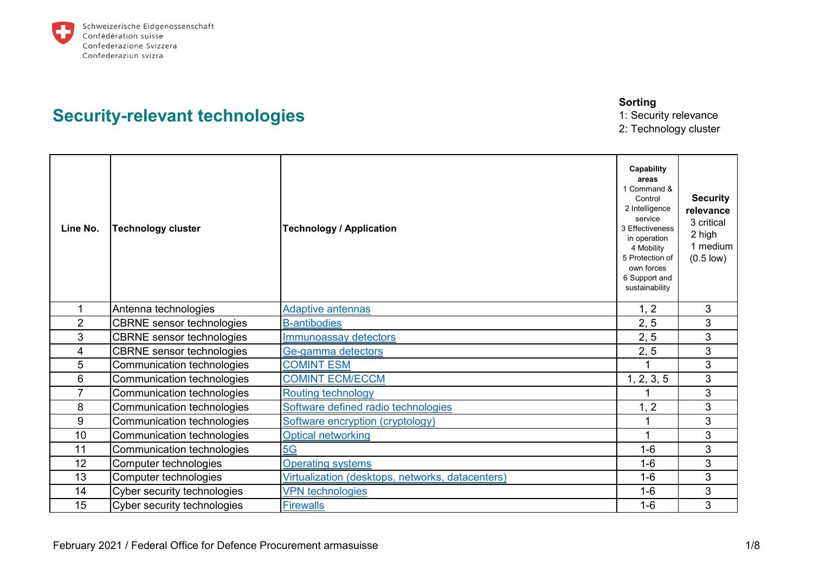

## **Security-relevant technologies**

**Sorting**

1: Security relevance 2: Technology cluster

| Line No.       | <b>Technology cluster</b>        | <b>Technology / Application</b>                  | Capability<br>areas<br>1 Command &<br>Control<br>2 Intelligence<br>service<br>3 Effectiveness<br>in operation<br>4 Mobility<br>5 Protection of<br>own forces<br>6 Support and<br>sustainability | <b>Security</b><br>relevance<br>3 critical<br>2 high<br>1 medium<br>$(0.5 \text{ low})$ |
|----------------|----------------------------------|--------------------------------------------------|-------------------------------------------------------------------------------------------------------------------------------------------------------------------------------------------------|-----------------------------------------------------------------------------------------|
|                | Antenna technologies             | <b>Adaptive antennas</b>                         | 1, 2                                                                                                                                                                                            | 3                                                                                       |
| $\overline{2}$ | <b>CBRNE</b> sensor technologies | <b>B-antibodies</b>                              | 2, 5                                                                                                                                                                                            | 3                                                                                       |
| 3              | <b>CBRNE</b> sensor technologies | Immunoassay detectors                            | 2, 5                                                                                                                                                                                            | 3                                                                                       |
| 4              | <b>CBRNE</b> sensor technologies | Ge-gamma detectors                               | 2, 5                                                                                                                                                                                            | 3                                                                                       |
| 5              | Communication technologies       | <b>COMINT ESM</b>                                |                                                                                                                                                                                                 | 3                                                                                       |
| 6              | Communication technologies       | <b>COMINT ECM/ECCM</b>                           | 1, 2, 3, 5                                                                                                                                                                                      | 3                                                                                       |
| $\overline{7}$ | Communication technologies       | <b>Routing technology</b>                        |                                                                                                                                                                                                 | 3                                                                                       |
| 8              | Communication technologies       | Software defined radio technologies              | 1, 2                                                                                                                                                                                            | $\mathbf{3}$                                                                            |
| 9              | Communication technologies       | Software encryption (cryptology)                 | 1                                                                                                                                                                                               | 3                                                                                       |
| 10             | Communication technologies       | <b>Optical networking</b>                        | 1                                                                                                                                                                                               | 3                                                                                       |
| 11             | Communication technologies       | 5G                                               | $1-6$                                                                                                                                                                                           | 3                                                                                       |
| 12             | Computer technologies            | <b>Operating systems</b>                         | $1 - 6$                                                                                                                                                                                         | 3                                                                                       |
| 13             | Computer technologies            | Virtualization (desktops, networks, datacenters) | $1 - 6$                                                                                                                                                                                         | 3                                                                                       |
| 14             | Cyber security technologies      | <b>VPN</b> technologies                          | $1-6$                                                                                                                                                                                           | 3                                                                                       |
| 15             | Cyber security technologies      | <b>Firewalls</b>                                 | $1 - 6$                                                                                                                                                                                         | 3                                                                                       |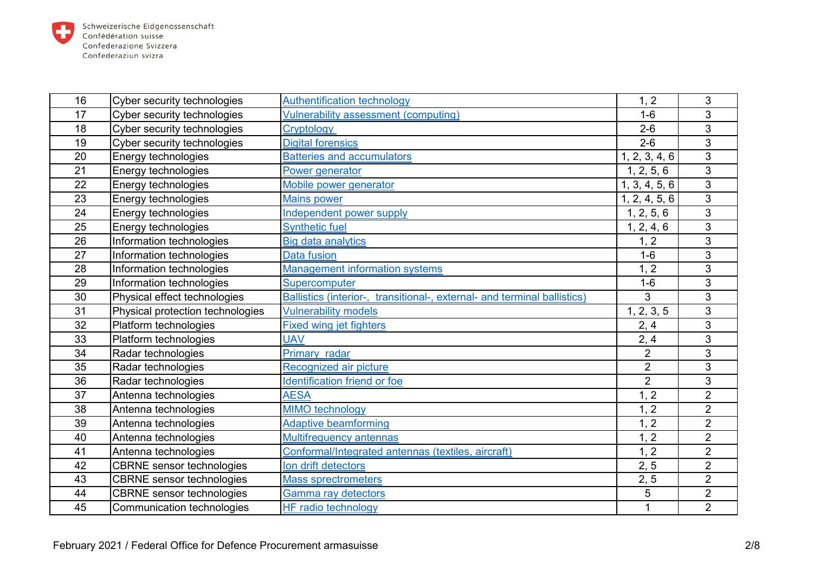

| 16 | Cyber security technologies      | <b>Authentification technology</b>                                       | 1, 2           | 3              |
|----|----------------------------------|--------------------------------------------------------------------------|----------------|----------------|
| 17 | Cyber security technologies      | <b>Vulnerability assessment (computing)</b>                              | $1-6$          | 3              |
| 18 | Cyber security technologies      | Cryptology                                                               | $2 - 6$        | 3              |
| 19 | Cyber security technologies      | <b>Digital forensics</b>                                                 | $2-6$          | 3              |
| 20 | Energy technologies              | <b>Batteries and accumulators</b>                                        | 1, 2, 3, 4, 6  | 3              |
| 21 | Energy technologies              | Power generator                                                          | 1, 2, 5, 6     | 3              |
| 22 | Energy technologies              | Mobile power generator                                                   | 1, 3, 4, 5, 6  | 3              |
| 23 | Energy technologies              | <b>Mains power</b>                                                       | 1, 2, 4, 5, 6  | 3              |
| 24 | Energy technologies              | Independent power supply                                                 | 1, 2, 5, 6     | 3              |
| 25 | Energy technologies              | <b>Synthetic fuel</b>                                                    | 1, 2, 4, 6     | 3              |
| 26 | Information technologies         | <b>Big data analytics</b>                                                | 1, 2           | 3              |
| 27 | Information technologies         | <b>Data fusion</b>                                                       | $1-6$          | 3              |
| 28 | Information technologies         | <b>Management information systems</b>                                    | 1, 2           | 3              |
| 29 | Information technologies         | Supercomputer                                                            | $1-6$          | 3              |
| 30 | Physical effect technologies     | Ballistics (interior-, transitional-, external- and terminal ballistics) | 3              | $\overline{3}$ |
| 31 | Physical protection technologies | <b>Vulnerability models</b>                                              | 1, 2, 3, 5     | 3              |
| 32 | Platform technologies            | <b>Fixed wing jet fighters</b>                                           | 2, 4           | 3              |
| 33 | Platform technologies            | <b>UAV</b>                                                               | 2, 4           | 3              |
| 34 | Radar technologies               | Primary radar                                                            | $\overline{2}$ | 3              |
| 35 | Radar technologies               | Recognized air picture                                                   | $\overline{2}$ | 3              |
| 36 | Radar technologies               | <b>Identification friend or foe</b>                                      | $\overline{2}$ | 3              |
| 37 | Antenna technologies             | <b>AESA</b>                                                              | 1, 2           | $\overline{2}$ |
| 38 | Antenna technologies             | <b>MIMO</b> technology                                                   | 1, 2           | $\overline{2}$ |
| 39 | Antenna technologies             | <b>Adaptive beamforming</b>                                              | 1, 2           | $\overline{2}$ |
| 40 | Antenna technologies             | <b>Multifrequency antennas</b>                                           | 1, 2           | $\overline{2}$ |
| 41 | Antenna technologies             | Conformal/Integrated antennas (textiles, aircraft)                       | 1, 2           | $\overline{2}$ |
| 42 | <b>CBRNE</b> sensor technologies | Ion drift detectors                                                      | 2, 5           | $\overline{2}$ |
| 43 | <b>CBRNE</b> sensor technologies | <b>Mass sprectrometers</b>                                               | 2, 5           | $\overline{2}$ |
| 44 | <b>CBRNE</b> sensor technologies | <b>Gamma ray detectors</b>                                               | 5              | $\overline{2}$ |
| 45 | Communication technologies       | <b>HF radio technology</b>                                               | $\mathbf{1}$   | $\overline{2}$ |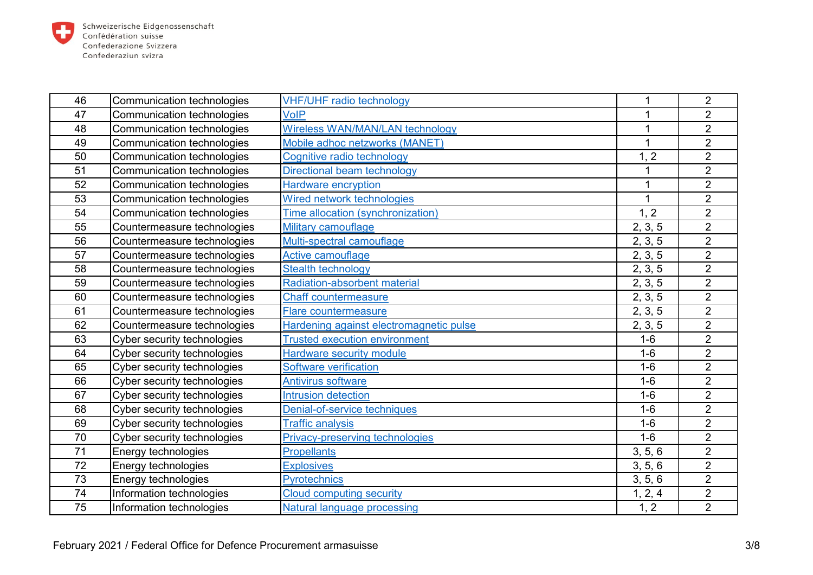

| 46 | Communication technologies  | <b>VHF/UHF radio technology</b>         | 1            | $\overline{2}$ |
|----|-----------------------------|-----------------------------------------|--------------|----------------|
| 47 | Communication technologies  | <b>VoIP</b>                             | $\mathbf{1}$ | $\overline{2}$ |
| 48 | Communication technologies  | <b>Wireless WAN/MAN/LAN technology</b>  | 1            | $\overline{2}$ |
| 49 | Communication technologies  | Mobile adhoc netzworks (MANET)          | 1            | $\overline{2}$ |
| 50 | Communication technologies  | Cognitive radio technology              | 1, 2         | $\overline{2}$ |
| 51 | Communication technologies  | Directional beam technology             |              | $\overline{2}$ |
| 52 | Communication technologies  | <b>Hardware encryption</b>              | 1            | $\overline{2}$ |
| 53 | Communication technologies  | Wired network technologies              | 1            | $\overline{2}$ |
| 54 | Communication technologies  | Time allocation (synchronization)       | 1, 2         | $\overline{2}$ |
| 55 | Countermeasure technologies | Military camouflage                     | 2, 3, 5      | $\overline{2}$ |
| 56 | Countermeasure technologies | Multi-spectral camouflage               | 2, 3, 5      | $\overline{2}$ |
| 57 | Countermeasure technologies | Active camouflage                       | 2, 3, 5      | $\overline{2}$ |
| 58 | Countermeasure technologies | <b>Stealth technology</b>               | 2, 3, 5      | $\overline{2}$ |
| 59 | Countermeasure technologies | <b>Radiation-absorbent material</b>     | 2, 3, 5      | $\overline{2}$ |
| 60 | Countermeasure technologies | <b>Chaff countermeasure</b>             | 2, 3, 5      | $\overline{2}$ |
| 61 | Countermeasure technologies | Flare countermeasure                    | 2, 3, 5      | $\overline{2}$ |
| 62 | Countermeasure technologies | Hardening against electromagnetic pulse | 2, 3, 5      | $\overline{2}$ |
| 63 | Cyber security technologies | <b>Trusted execution environment</b>    | $1-6$        | $\overline{2}$ |
| 64 | Cyber security technologies | <b>Hardware security module</b>         | $1-6$        | $\overline{2}$ |
| 65 | Cyber security technologies | Software verification                   | $1-6$        | $\overline{2}$ |
| 66 | Cyber security technologies | <b>Antivirus software</b>               | $1-6$        | $\overline{2}$ |
| 67 | Cyber security technologies | <b>Intrusion detection</b>              | $1-6$        | $\overline{2}$ |
| 68 | Cyber security technologies | Denial-of-service techniques            | $1-6$        | $\overline{2}$ |
| 69 | Cyber security technologies | <b>Traffic analysis</b>                 | $1-6$        | $\overline{2}$ |
| 70 | Cyber security technologies | Privacy-preserving technologies         | $1-6$        | $\overline{2}$ |
| 71 | Energy technologies         | <b>Propellants</b>                      | 3, 5, 6      | $\overline{2}$ |
| 72 | Energy technologies         | <b>Explosives</b>                       | 3, 5, 6      | $\overline{2}$ |
| 73 | Energy technologies         | Pyrotechnics                            | 3, 5, 6      | $\overline{2}$ |
| 74 | Information technologies    | <b>Cloud computing security</b>         | 1, 2, 4      | $\overline{2}$ |
| 75 | Information technologies    | Natural language processing             | 1, 2         | $\overline{2}$ |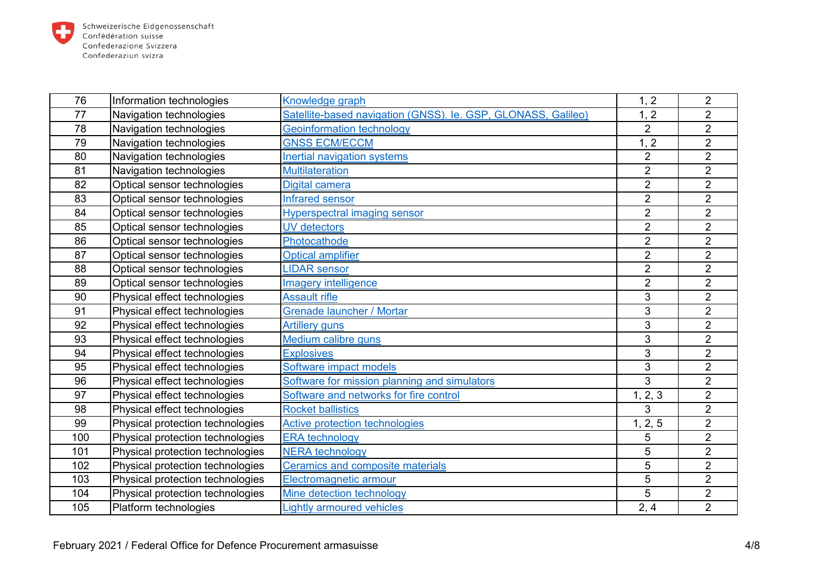

| 76  | Information technologies         | Knowledge graph                                               | 1, 2           | $\overline{2}$ |
|-----|----------------------------------|---------------------------------------------------------------|----------------|----------------|
| 77  | Navigation technologies          | Satellite-based navigation (GNSS). le. GSP, GLONASS, Galileo) | 1, 2           | $\overline{2}$ |
| 78  | Navigation technologies          | <b>Geoinformation technology</b>                              | $\overline{2}$ | $\overline{2}$ |
| 79  | Navigation technologies          | <b>GNSS ECM/ECCM</b>                                          | 1, 2           | $\overline{2}$ |
| 80  | Navigation technologies          | <b>Inertial navigation systems</b>                            | $\overline{2}$ | $\overline{2}$ |
| 81  | Navigation technologies          | <b>Multilateration</b>                                        | $\overline{2}$ | $\overline{2}$ |
| 82  | Optical sensor technologies      | Digital camera                                                | $\overline{2}$ | $\overline{2}$ |
| 83  | Optical sensor technologies      | <b>Infrared sensor</b>                                        | $\overline{2}$ | $\overline{2}$ |
| 84  | Optical sensor technologies      | <b>Hyperspectral imaging sensor</b>                           | $\overline{2}$ | $\overline{2}$ |
| 85  | Optical sensor technologies      | <b>UV</b> detectors                                           | $\overline{2}$ | $\overline{2}$ |
| 86  | Optical sensor technologies      | Photocathode                                                  | $\overline{2}$ | $\overline{2}$ |
| 87  | Optical sensor technologies      | <b>Optical amplifier</b>                                      | $\overline{2}$ | $\overline{2}$ |
| 88  | Optical sensor technologies      | <b>LIDAR</b> sensor                                           | $\overline{2}$ | $\overline{2}$ |
| 89  | Optical sensor technologies      | <b>Imagery intelligence</b>                                   | $\overline{2}$ | $\overline{2}$ |
| 90  | Physical effect technologies     | <b>Assault rifle</b>                                          | 3              | $\overline{2}$ |
| 91  | Physical effect technologies     | <b>Grenade launcher / Mortar</b>                              | 3              | $\overline{2}$ |
| 92  | Physical effect technologies     | <b>Artillery guns</b>                                         | 3              | $\overline{2}$ |
| 93  | Physical effect technologies     | Medium calibre guns                                           | 3              | $\overline{2}$ |
| 94  | Physical effect technologies     | <b>Explosives</b>                                             | 3              | $\overline{2}$ |
| 95  | Physical effect technologies     | Software impact models                                        | 3              | $\overline{2}$ |
| 96  | Physical effect technologies     | Software for mission planning and simulators                  | 3              | $\overline{2}$ |
| 97  | Physical effect technologies     | Software and networks for fire control                        | 1, 2, 3        | $\overline{2}$ |
| 98  | Physical effect technologies     | <b>Rocket ballistics</b>                                      | 3              | $\overline{2}$ |
| 99  | Physical protection technologies | Active protection technologies                                | 1, 2, 5        | $\overline{2}$ |
| 100 | Physical protection technologies | <b>ERA</b> technology                                         | 5              | $\overline{2}$ |
| 101 | Physical protection technologies | <b>NERA</b> technology                                        | 5              | $\overline{2}$ |
| 102 | Physical protection technologies | <b>Ceramics and composite materials</b>                       | 5              | $\overline{2}$ |
| 103 | Physical protection technologies | Electromagnetic armour                                        | 5              | $\overline{2}$ |
| 104 | Physical protection technologies | Mine detection technology                                     | 5              | $\overline{2}$ |
| 105 | Platform technologies            | <b>Lightly armoured vehicles</b>                              | 2, 4           | $\overline{2}$ |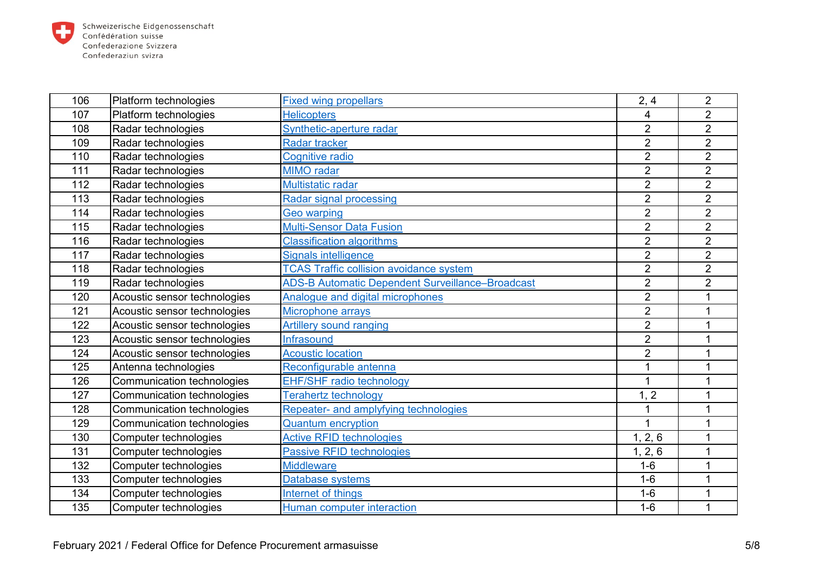

| 106 | Platform technologies        | <b>Fixed wing propellars</b>                            | 2, 4           | $\overline{2}$ |
|-----|------------------------------|---------------------------------------------------------|----------------|----------------|
| 107 | Platform technologies        | <b>Helicopters</b>                                      | 4              | $\overline{2}$ |
| 108 | Radar technologies           | Synthetic-aperture radar                                | $\overline{2}$ | $\overline{2}$ |
| 109 | Radar technologies           | <b>Radar tracker</b>                                    | $\overline{2}$ | $\overline{2}$ |
| 110 | Radar technologies           | <b>Cognitive radio</b>                                  | $\overline{2}$ | $\overline{2}$ |
| 111 | Radar technologies           | <b>MIMO</b> radar                                       | $\overline{2}$ | $\overline{2}$ |
| 112 | Radar technologies           | Multistatic radar                                       | $\overline{2}$ | $\overline{2}$ |
| 113 | Radar technologies           | <b>Radar signal processing</b>                          | $\overline{2}$ | $\overline{2}$ |
| 114 | Radar technologies           | <b>Geo warping</b>                                      | $\overline{2}$ | $\overline{2}$ |
| 115 | Radar technologies           | <b>Multi-Sensor Data Fusion</b>                         | $\overline{2}$ | $\overline{2}$ |
| 116 | Radar technologies           | <b>Classification algorithms</b>                        | $\overline{2}$ | $\overline{2}$ |
| 117 | Radar technologies           | <b>Signals intelligence</b>                             | $\overline{2}$ | $\overline{2}$ |
| 118 | Radar technologies           | <b>TCAS Traffic collision avoidance system</b>          | $\overline{2}$ | $\overline{2}$ |
| 119 | Radar technologies           | <b>ADS-B Automatic Dependent Surveillance-Broadcast</b> | $\overline{2}$ | $\overline{2}$ |
| 120 | Acoustic sensor technologies | Analogue and digital microphones                        | $\overline{2}$ |                |
| 121 | Acoustic sensor technologies | Microphone arrays                                       | $\overline{2}$ | 1              |
| 122 | Acoustic sensor technologies | <b>Artillery sound ranging</b>                          | $\overline{2}$ |                |
| 123 | Acoustic sensor technologies | <b>Infrasound</b>                                       | $\overline{2}$ | 1              |
| 124 | Acoustic sensor technologies | <b>Acoustic location</b>                                | $\overline{2}$ |                |
| 125 | Antenna technologies         | Reconfigurable antenna                                  | 1              | 1              |
| 126 | Communication technologies   | <b>EHF/SHF radio technology</b>                         |                |                |
| 127 | Communication technologies   | <b>Terahertz technology</b>                             | 1, 2           |                |
| 128 | Communication technologies   | Repeater- and amplyfying technologies                   |                |                |
| 129 | Communication technologies   | <b>Quantum encryption</b>                               | 1              |                |
| 130 | Computer technologies        | <b>Active RFID technologies</b>                         | 1, 2, 6        |                |
| 131 | Computer technologies        | <b>Passive RFID technologies</b>                        | 1, 2, 6        |                |
| 132 | Computer technologies        | <b>Middleware</b>                                       | $1-6$          |                |
| 133 | Computer technologies        | Database systems                                        | $1-6$          | 1              |
| 134 | Computer technologies        | Internet of things                                      | $1-6$          |                |
| 135 | Computer technologies        | Human computer interaction                              | $1-6$          | 1              |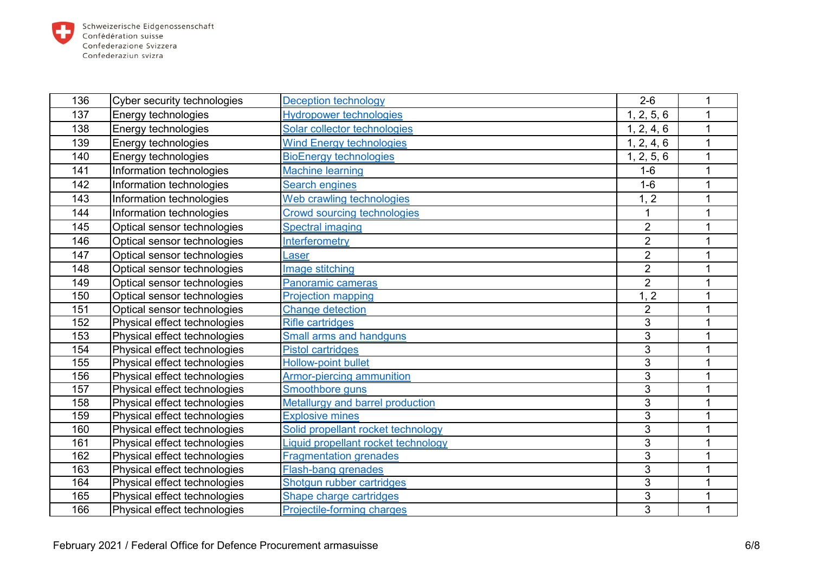

| 136 | Cyber security technologies  | <b>Deception technology</b>         | $2 - 6$        |   |
|-----|------------------------------|-------------------------------------|----------------|---|
| 137 | Energy technologies          | <b>Hydropower technologies</b>      | 1, 2, 5, 6     | 1 |
| 138 | Energy technologies          | Solar collector technologies        | 1, 2, 4, 6     |   |
| 139 | Energy technologies          | <b>Wind Energy technologies</b>     | 1, 2, 4, 6     | 1 |
| 140 | Energy technologies          | <b>BioEnergy technologies</b>       | 1, 2, 5, 6     |   |
| 141 | Information technologies     | <b>Machine learning</b>             | $1-6$          | 1 |
| 142 | Information technologies     | Search engines                      | $1-6$          |   |
| 143 | Information technologies     | Web crawling technologies           | 1, 2           | 1 |
| 144 | Information technologies     | Crowd sourcing technologies         |                |   |
| 145 | Optical sensor technologies  | <b>Spectral imaging</b>             | $\overline{2}$ |   |
| 146 | Optical sensor technologies  | Interferometry                      | $\overline{2}$ |   |
| 147 | Optical sensor technologies  | Laser                               | $\overline{2}$ | 1 |
| 148 | Optical sensor technologies  | Image stitching                     | $\overline{2}$ |   |
| 149 | Optical sensor technologies  | Panoramic cameras                   | $\overline{2}$ |   |
| 150 | Optical sensor technologies  | <b>Projection mapping</b>           | 1, 2           |   |
| 151 | Optical sensor technologies  | <b>Change detection</b>             | $\overline{2}$ |   |
| 152 | Physical effect technologies | <b>Rifle cartridges</b>             | 3              | 1 |
| 153 | Physical effect technologies | Small arms and handguns             | 3              | 1 |
| 154 | Physical effect technologies | <b>Pistol cartridges</b>            | 3              |   |
| 155 | Physical effect technologies | <b>Hollow-point bullet</b>          | 3              |   |
| 156 | Physical effect technologies | Armor-piercing ammunition           | 3              | 1 |
| 157 | Physical effect technologies | Smoothbore guns                     | 3              |   |
| 158 | Physical effect technologies | Metallurgy and barrel production    | 3              |   |
| 159 | Physical effect technologies | <b>Explosive mines</b>              | $\overline{3}$ |   |
| 160 | Physical effect technologies | Solid propellant rocket technology  | 3              |   |
| 161 | Physical effect technologies | Liquid propellant rocket technology | 3              |   |
| 162 | Physical effect technologies | <b>Fragmentation grenades</b>       | 3              |   |
| 163 | Physical effect technologies | <b>Flash-bang grenades</b>          | 3              | 1 |
| 164 | Physical effect technologies | Shotqun rubber cartridges           | 3              | 1 |
| 165 | Physical effect technologies | Shape charge cartridges             | 3              |   |
| 166 | Physical effect technologies | Projectile-forming charges          | 3              | 1 |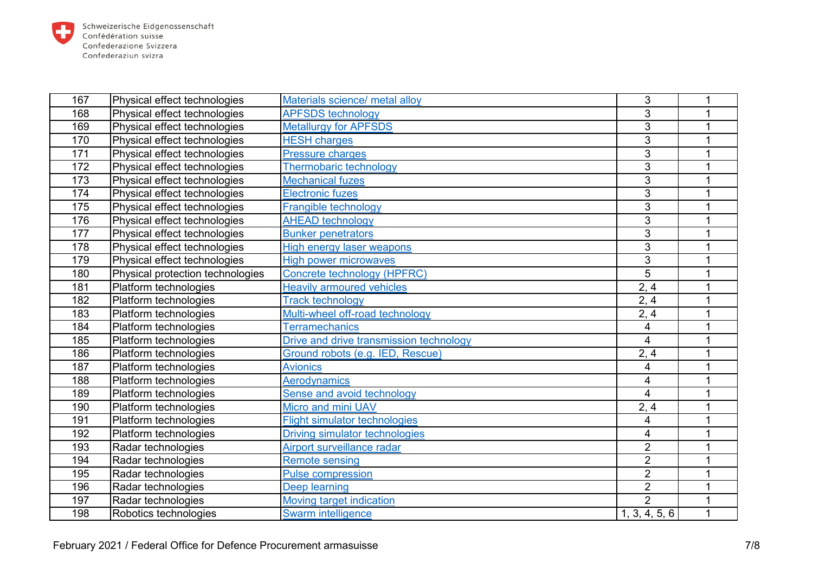

| 167 | Physical effect technologies     | Materials science/ metal alloy          | 3              |   |
|-----|----------------------------------|-----------------------------------------|----------------|---|
| 168 | Physical effect technologies     | <b>APFSDS</b> technology                | 3              |   |
| 169 | Physical effect technologies     | <b>Metallurgy for APFSDS</b>            | 3              |   |
| 170 | Physical effect technologies     | <b>HESH charges</b>                     | 3              |   |
| 171 | Physical effect technologies     | <b>Pressure charges</b>                 | 3              |   |
| 172 | Physical effect technologies     | Thermobaric technology                  | 3              |   |
| 173 | Physical effect technologies     | <b>Mechanical fuzes</b>                 | 3              |   |
| 174 | Physical effect technologies     | <b>Electronic fuzes</b>                 | 3              |   |
| 175 | Physical effect technologies     | Frangible technology                    | 3              |   |
| 176 | Physical effect technologies     | <b>AHEAD technology</b>                 | 3              |   |
| 177 | Physical effect technologies     | <b>Bunker penetrators</b>               | 3              |   |
| 178 | Physical effect technologies     | <b>High energy laser weapons</b>        | 3              |   |
| 179 | Physical effect technologies     | <b>High power microwaves</b>            | 3              |   |
| 180 | Physical protection technologies | Concrete technology (HPFRC)             | 5              |   |
| 181 | Platform technologies            | <b>Heavily armoured vehicles</b>        | 2, 4           |   |
| 182 | Platform technologies            | <b>Track technology</b>                 | 2, 4           |   |
| 183 | Platform technologies            | Multi-wheel off-road technology         | 2, 4           | 1 |
| 184 | Platform technologies            | <b>Terramechanics</b>                   | 4              |   |
| 185 | Platform technologies            | Drive and drive transmission technology | 4              |   |
| 186 | Platform technologies            | Ground robots (e.g. IED, Rescue)        | 2, 4           |   |
| 187 | Platform technologies            | <b>Avionics</b>                         | 4              |   |
| 188 | Platform technologies            | <b>Aerodynamics</b>                     | 4              |   |
| 189 | Platform technologies            | Sense and avoid technology              | $\overline{4}$ |   |
| 190 | Platform technologies            | Micro and mini UAV                      | 2, 4           |   |
| 191 | Platform technologies            | <b>Flight simulator technologies</b>    | 4              |   |
| 192 | Platform technologies            | <b>Driving simulator technologies</b>   | 4              |   |
| 193 | Radar technologies               | Airport surveillance radar              | $\overline{2}$ |   |
| 194 | Radar technologies               | <b>Remote sensing</b>                   | $\overline{2}$ |   |
| 195 | Radar technologies               | <b>Pulse compression</b>                | $\overline{2}$ |   |
| 196 | Radar technologies               | <b>Deep learning</b>                    | $\overline{2}$ |   |
| 197 | Radar technologies               | <b>Moving target indication</b>         | $\overline{2}$ |   |
| 198 | Robotics technologies            | Swarm intelligence                      | 1, 3, 4, 5, 6  |   |